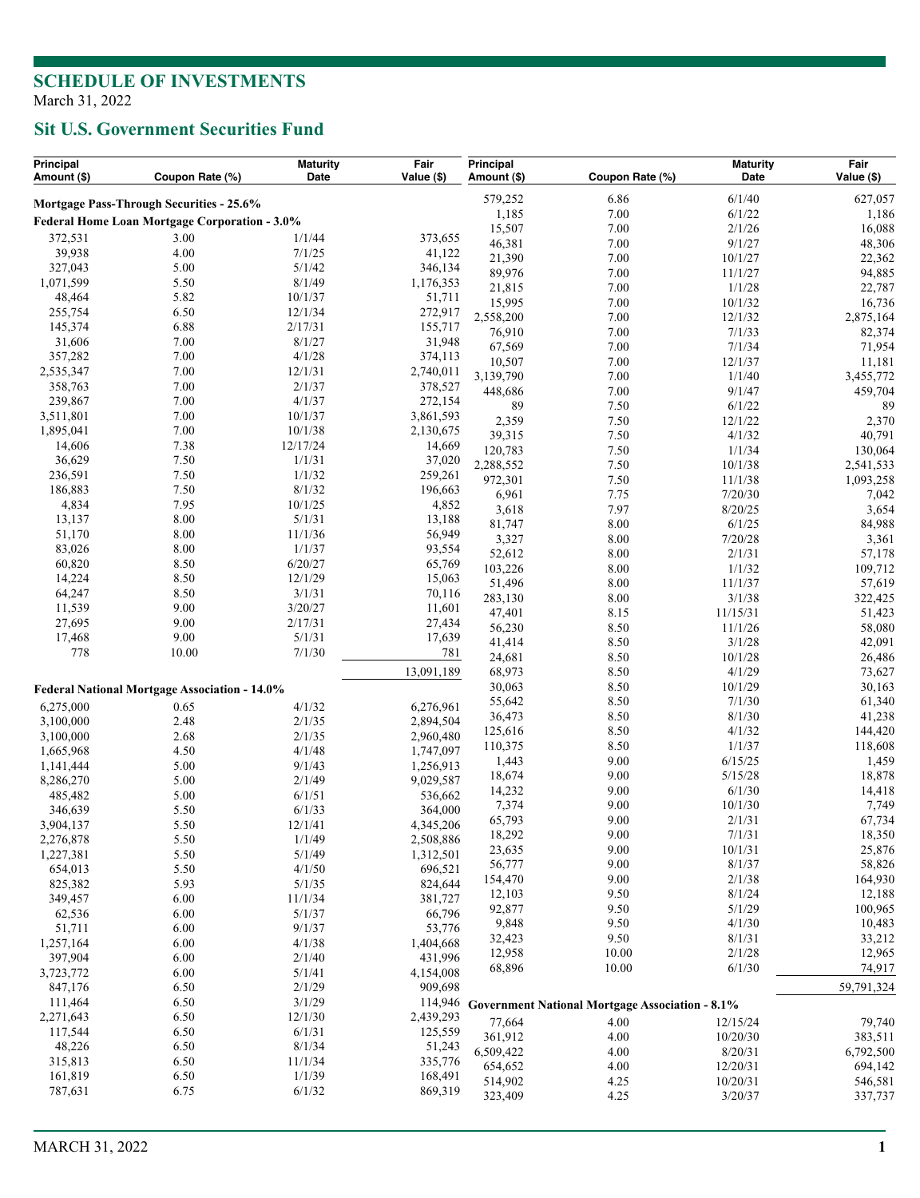## **Sit U.S. Government Securities Fund**

| Principal<br>Amount (\$)                 | Coupon Rate (%)                                      | <b>Maturity</b><br>Date | Fair<br>Value (\$)     | Principal<br>Amount (\$) | Coupon Rate (%)                                         | <b>Maturity</b><br>Date | Fair<br>Value (\$)  |
|------------------------------------------|------------------------------------------------------|-------------------------|------------------------|--------------------------|---------------------------------------------------------|-------------------------|---------------------|
| Mortgage Pass-Through Securities - 25.6% |                                                      |                         |                        | 579,252                  | 6.86                                                    | 6/1/40                  | 627,057             |
|                                          | Federal Home Loan Mortgage Corporation - 3.0%        |                         |                        | 1,185                    | 7.00                                                    | 6/1/22                  | 1,186               |
| 372,531                                  | 3.00                                                 |                         |                        | 15,507                   | 7.00                                                    | 2/1/26                  | 16,088              |
| 39,938                                   | 4.00                                                 | 1/1/44<br>7/1/25        | 373,655<br>41,122      | 46,381                   | 7.00                                                    | 9/1/27                  | 48,306              |
| 327,043                                  | 5.00                                                 | 5/1/42                  | 346,134                | 21,390                   | 7.00                                                    | 10/1/27                 | 22,362              |
| 1,071,599                                | 5.50                                                 | 8/1/49                  | 1,176,353              | 89,976                   | 7.00                                                    | 11/1/27                 | 94,885              |
| 48,464                                   | 5.82                                                 | 10/1/37                 | 51,711                 | 21,815                   | 7.00                                                    | 1/1/28                  | 22,787              |
| 255,754                                  | 6.50                                                 | 12/1/34                 | 272,917                | 15,995<br>2,558,200      | 7.00<br>7.00                                            | 10/1/32<br>12/1/32      | 16,736              |
| 145,374                                  | 6.88                                                 | 2/17/31                 | 155,717                | 76,910                   | 7.00                                                    | 7/1/33                  | 2,875,164<br>82,374 |
| 31,606                                   | 7.00                                                 | 8/1/27                  | 31,948                 | 67,569                   | 7.00                                                    | 7/1/34                  | 71,954              |
| 357,282                                  | 7.00                                                 | 4/1/28                  | 374,113                | 10,507                   | 7.00                                                    | 12/1/37                 | 11,181              |
| 2,535,347                                | 7.00                                                 | 12/1/31                 | 2,740,011              | 3,139,790                | 7.00                                                    | 1/1/40                  | 3,455,772           |
| 358,763                                  | 7.00                                                 | 2/1/37                  | 378,527                | 448,686                  | 7.00                                                    | 9/1/47                  | 459,704             |
| 239,867                                  | 7.00                                                 | 4/1/37                  | 272,154                | 89                       | 7.50                                                    | 6/1/22                  | 89                  |
| 3,511,801                                | 7.00                                                 | 10/1/37                 | 3,861,593              | 2,359                    | 7.50                                                    | 12/1/22                 | 2,370               |
| 1,895,041                                | 7.00                                                 | 10/1/38                 | 2,130,675              | 39,315                   | 7.50                                                    | 4/1/32                  | 40,791              |
| 14,606                                   | 7.38                                                 | 12/17/24                | 14,669                 | 120,783                  | 7.50                                                    | 1/1/34                  | 130,064             |
| 36,629                                   | 7.50                                                 | 1/1/31                  | 37,020                 | 2,288,552                | 7.50                                                    | 10/1/38                 | 2,541,533           |
| 236,591                                  | 7.50                                                 | 1/1/32                  | 259,261                | 972,301                  | 7.50                                                    | 11/1/38                 | 1,093,258           |
| 186,883                                  | 7.50                                                 | 8/1/32                  | 196,663                | 6,961                    | 7.75                                                    | 7/20/30                 | 7,042               |
| 4,834<br>13,137                          | 7.95<br>8.00                                         | 10/1/25<br>5/1/31       | 4,852<br>13,188        | 3,618                    | 7.97                                                    | 8/20/25                 | 3,654               |
| 51,170                                   | 8.00                                                 | 11/1/36                 | 56,949                 | 81,747                   | 8.00                                                    | 6/1/25                  | 84,988              |
| 83,026                                   | 8.00                                                 | 1/1/37                  | 93,554                 | 3,327                    | 8.00                                                    | 7/20/28                 | 3,361               |
| 60,820                                   | 8.50                                                 | 6/20/27                 | 65,769                 | 52,612                   | 8.00                                                    | 2/1/31                  | 57,178              |
| 14,224                                   | 8.50                                                 | 12/1/29                 | 15,063                 | 103,226                  | 8.00                                                    | 1/1/32                  | 109,712             |
| 64,247                                   | 8.50                                                 | 3/1/31                  | 70,116                 | 51,496                   | 8.00                                                    | 11/1/37                 | 57,619              |
| 11,539                                   | 9.00                                                 | 3/20/27                 | 11,601                 | 283,130                  | 8.00                                                    | 3/1/38                  | 322,425             |
| 27,695                                   | 9.00                                                 | 2/17/31                 | 27,434                 | 47,401                   | 8.15<br>8.50                                            | 11/15/31<br>11/1/26     | 51,423              |
| 17,468                                   | 9.00                                                 | 5/1/31                  | 17,639                 | 56,230<br>41,414         | 8.50                                                    | 3/1/28                  | 58,080<br>42,091    |
| 778                                      | 10.00                                                | 7/1/30                  | 781                    | 24,681                   | 8.50                                                    | 10/1/28                 | 26,486              |
|                                          |                                                      |                         | 13,091,189             | 68,973                   | 8.50                                                    | 4/1/29                  | 73,627              |
|                                          | <b>Federal National Mortgage Association - 14.0%</b> |                         |                        | 30,063                   | 8.50                                                    | 10/1/29                 | 30,163              |
|                                          | 0.65                                                 | 4/1/32                  |                        | 55,642                   | 8.50                                                    | 7/1/30                  | 61,340              |
| 6,275,000<br>3,100,000                   | 2.48                                                 | 2/1/35                  | 6,276,961<br>2,894,504 | 36,473                   | 8.50                                                    | 8/1/30                  | 41,238              |
| 3,100,000                                | 2.68                                                 | 2/1/35                  | 2,960,480              | 125,616                  | 8.50                                                    | 4/1/32                  | 144,420             |
| 1,665,968                                | 4.50                                                 | 4/1/48                  | 1,747,097              | 110,375                  | 8.50                                                    | 1/1/37                  | 118,608             |
| 1,141,444                                | 5.00                                                 | 9/1/43                  | 1,256,913              | 1,443                    | 9.00                                                    | 6/15/25                 | 1,459               |
| 8,286,270                                | 5.00                                                 | 2/1/49                  | 9,029,587              | 18,674                   | 9.00                                                    | 5/15/28                 | 18,878              |
| 485,482                                  | 5.00                                                 | 6/1/51                  | 536,662                | 14,232                   | 9.00                                                    | 6/1/30                  | 14,418              |
| 346,639                                  | 5.50                                                 | 6/1/33                  | 364,000                | 7,374                    | 9.00                                                    | 10/1/30                 | 7,749               |
| 3,904,137                                | 5.50                                                 | 12/1/41                 | 4,345,206              | 65,793                   | 9.00                                                    | 2/1/31                  | 67,734              |
| 2,276,878                                | 5.50                                                 | 1/1/49                  | 2,508,886              | 18,292                   | 9.00                                                    | 7/1/31                  | 18,350              |
| 1,227,381                                | 5.50                                                 | 5/1/49                  | 1,312,501              | 23,635                   | 9.00                                                    | 10/1/31                 | 25,876              |
| 654,013                                  | 5.50                                                 | 4/1/50                  | 696,521                | 56,777                   | 9.00                                                    | 8/1/37                  | 58,826              |
| 825,382                                  | 5.93                                                 | 5/1/35                  | 824,644                | 154,470                  | 9.00                                                    | 2/1/38<br>8/1/24        | 164,930             |
| 349,457                                  | 6.00                                                 | 11/1/34                 | 381,727                | 12,103<br>92,877         | 9.50<br>9.50                                            | 5/1/29                  | 12,188<br>100,965   |
| 62,536                                   | 6.00                                                 | 5/1/37                  | 66,796                 | 9,848                    | 9.50                                                    | 4/1/30                  | 10,483              |
| 51,711                                   | 6.00                                                 | 9/1/37                  | 53,776                 | 32,423                   | 9.50                                                    | 8/1/31                  | 33,212              |
| 1,257,164                                | 6.00                                                 | 4/1/38                  | 1,404,668              | 12,958                   | 10.00                                                   | 2/1/28                  | 12,965              |
| 397,904                                  | 6.00                                                 | 2/1/40                  | 431,996                | 68,896                   | 10.00                                                   | 6/1/30                  | 74,917              |
| 3,723,772                                | 6.00                                                 | 5/1/41<br>2/1/29        | 4,154,008<br>909,698   |                          |                                                         |                         | 59,791,324          |
| 847,176<br>111,464                       | 6.50<br>6.50                                         | 3/1/29                  |                        |                          |                                                         |                         |                     |
| 2,271,643                                | 6.50                                                 | 12/1/30                 | 2,439,293              |                          | 114,946 Government National Mortgage Association - 8.1% |                         |                     |
| 117,544                                  | 6.50                                                 | 6/1/31                  | 125,559                | 77,664                   | 4.00                                                    | 12/15/24                | 79,740              |
| 48,226                                   | 6.50                                                 | 8/1/34                  | 51,243                 | 361,912                  | 4.00                                                    | 10/20/30                | 383,511             |
| 315,813                                  | 6.50                                                 | 11/1/34                 | 335,776                | 6,509,422                | 4.00                                                    | 8/20/31                 | 6,792,500           |
| 161,819                                  | 6.50                                                 | 1/1/39                  | 168,491                | 654,652                  | 4.00                                                    | 12/20/31                | 694,142             |
| 787,631                                  | 6.75                                                 | 6/1/32                  | 869,319                | 514,902<br>323,409       | 4.25<br>4.25                                            | 10/20/31<br>3/20/37     | 546,581<br>337,737  |
|                                          |                                                      |                         |                        |                          |                                                         |                         |                     |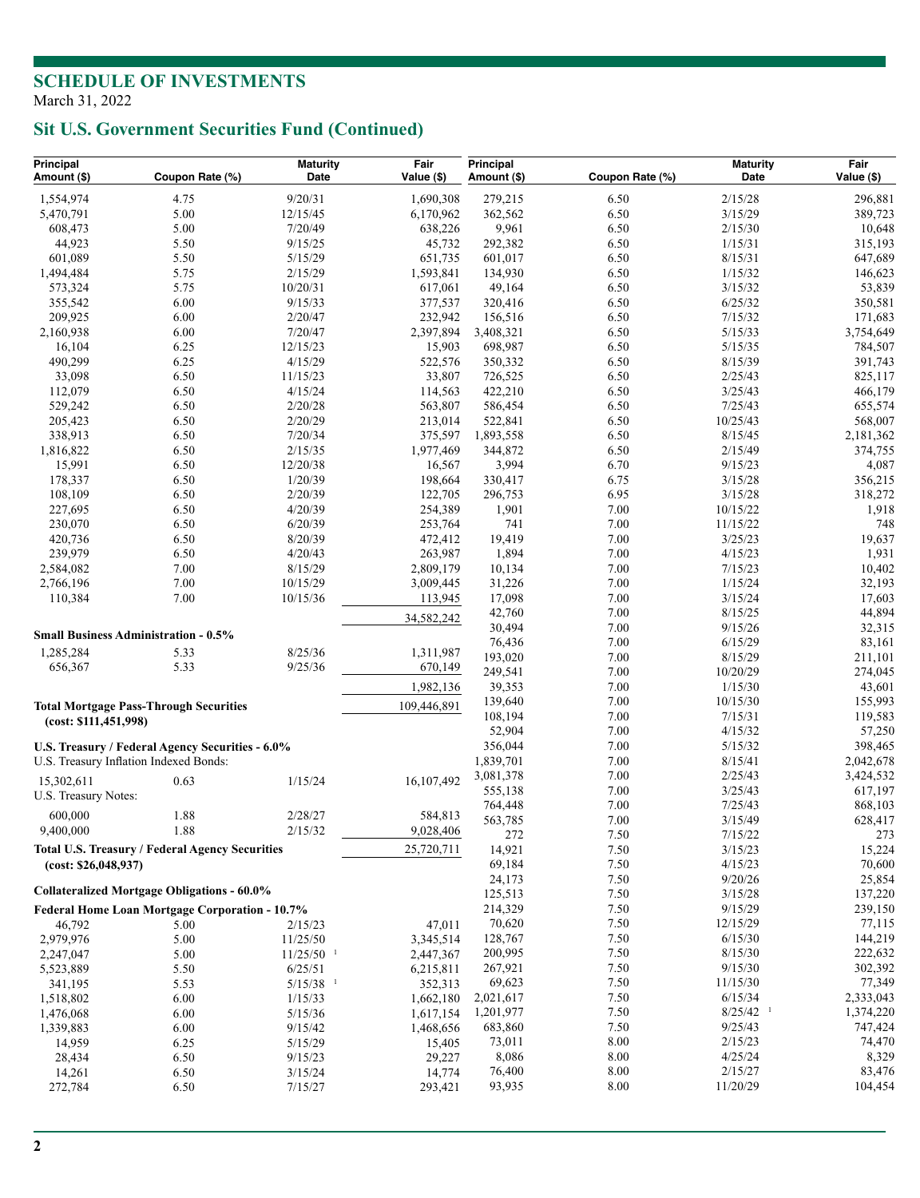# **Sit U.S. Government Securities Fund (Continued)**

| Principal<br>Amount (\$)                           | Coupon Rate (%)                                  | <b>Maturity</b><br>Date            | Fair<br>Value (\$)   | Principal<br>Amount (\$) | Coupon Rate (%) | <b>Maturity</b><br>Date | Fair<br>Value (\$) |
|----------------------------------------------------|--------------------------------------------------|------------------------------------|----------------------|--------------------------|-----------------|-------------------------|--------------------|
| 1,554,974                                          | 4.75                                             | 9/20/31                            | 1,690,308            | 279,215                  | 6.50            | 2/15/28                 |                    |
| 5,470,791                                          | 5.00                                             | 12/15/45                           | 6,170,962            | 362,562                  | 6.50            | 3/15/29                 | 296,881<br>389,723 |
| 608,473                                            | 5.00                                             | 7/20/49                            | 638,226              | 9,961                    | 6.50            | 2/15/30                 | 10,648             |
| 44,923                                             | 5.50                                             | 9/15/25                            | 45,732               | 292,382                  | 6.50            | 1/15/31                 | 315,193            |
| 601,089                                            | 5.50                                             | 5/15/29                            | 651,735              | 601,017                  | 6.50            | 8/15/31                 | 647,689            |
| 1,494,484                                          | 5.75                                             | 2/15/29                            | 1,593,841            | 134,930                  | 6.50            | 1/15/32                 | 146,623            |
| 573,324                                            | 5.75                                             | 10/20/31                           | 617,061              | 49,164                   | 6.50            | 3/15/32                 | 53,839             |
| 355,542                                            | 6.00                                             | 9/15/33                            | 377,537              | 320,416                  | 6.50            | 6/25/32                 | 350,581            |
| 209,925                                            | 6.00                                             | 2/20/47                            | 232,942              | 156,516                  | 6.50            | 7/15/32                 | 171,683            |
| 2,160,938                                          | 6.00                                             | 7/20/47                            | 2,397,894            | 3,408,321                | 6.50            | 5/15/33                 | 3,754,649          |
| 16,104                                             | 6.25                                             | 12/15/23                           | 15,903               | 698,987                  | 6.50            | 5/15/35                 | 784,507            |
| 490,299                                            | 6.25                                             | 4/15/29                            | 522,576              | 350,332                  | 6.50            | 8/15/39                 | 391,743            |
| 33,098                                             | 6.50                                             | 11/15/23                           | 33,807               | 726,525                  | 6.50            | 2/25/43                 | 825,117            |
| 112,079                                            | 6.50                                             | 4/15/24                            | 114,563              | 422,210                  | 6.50            | 3/25/43                 | 466,179            |
| 529,242                                            | 6.50                                             | 2/20/28                            | 563,807              | 586,454                  | 6.50            | 7/25/43                 | 655,574            |
| 205,423                                            | 6.50                                             | 2/20/29                            | 213,014              | 522,841                  | 6.50            | 10/25/43                | 568,007            |
| 338,913                                            | 6.50                                             | 7/20/34                            | 375,597              | 1,893,558                | 6.50            | 8/15/45                 | 2,181,362          |
| 1,816,822                                          | 6.50                                             | 2/15/35                            | 1,977,469            | 344,872                  | 6.50            | 2/15/49                 | 374,755            |
| 15,991                                             | 6.50                                             | 12/20/38                           | 16,567               | 3,994                    | 6.70            | 9/15/23                 | 4,087              |
| 178,337                                            | 6.50                                             | 1/20/39                            | 198,664              | 330,417                  | 6.75            | 3/15/28                 | 356,215            |
| 108,109                                            | 6.50                                             | 2/20/39                            | 122,705              | 296,753                  | 6.95            | 3/15/28                 | 318,272            |
| 227,695                                            | 6.50                                             | 4/20/39                            | 254,389              | 1,901                    | 7.00            | 10/15/22                | 1,918              |
| 230,070                                            | 6.50<br>6.50                                     | 6/20/39                            | 253,764              | 741                      | 7.00<br>7.00    | 11/15/22                | 748<br>19,637      |
| 420,736<br>239,979                                 | 6.50                                             | 8/20/39<br>4/20/43                 | 472,412<br>263,987   | 19,419<br>1,894          | 7.00            | 3/25/23<br>4/15/23      | 1,931              |
| 2,584,082                                          | 7.00                                             | 8/15/29                            | 2,809,179            | 10,134                   | 7.00            | 7/15/23                 | 10,402             |
| 2,766,196                                          | 7.00                                             | 10/15/29                           | 3,009,445            | 31,226                   | 7.00            | 1/15/24                 | 32,193             |
| 110,384                                            | 7.00                                             | 10/15/36                           | 113,945              | 17,098                   | 7.00            | 3/15/24                 | 17,603             |
|                                                    |                                                  |                                    |                      | 42,760                   | 7.00            | 8/15/25                 | 44,894             |
|                                                    |                                                  |                                    | 34,582,242           | 30,494                   | 7.00            | 9/15/26                 | 32,315             |
|                                                    | <b>Small Business Administration - 0.5%</b>      |                                    |                      | 76,436                   | 7.00            | 6/15/29                 | 83,161             |
| 1,285,284                                          | 5.33                                             | 8/25/36                            | 1,311,987            | 193,020                  | 7.00            | 8/15/29                 | 211,101            |
| 656,367                                            | 5.33                                             | 9/25/36                            | 670,149              | 249,541                  | 7.00            | 10/20/29                | 274,045            |
|                                                    |                                                  |                                    | 1,982,136            | 39,353                   | 7.00            | 1/15/30                 | 43,601             |
| <b>Total Mortgage Pass-Through Securities</b>      |                                                  |                                    | 109,446,891          | 139,640                  | 7.00            | 10/15/30                | 155,993            |
| (cost: \$111,451,998)                              |                                                  |                                    |                      | 108,194                  | 7.00            | 7/15/31                 | 119,583            |
|                                                    |                                                  |                                    |                      | 52,904                   | 7.00            | 4/15/32                 | 57,250             |
|                                                    | U.S. Treasury / Federal Agency Securities - 6.0% |                                    |                      | 356,044                  | 7.00            | 5/15/32                 | 398,465            |
| U.S. Treasury Inflation Indexed Bonds:             |                                                  |                                    |                      | 1,839,701                | 7.00            | 8/15/41                 | 2,042,678          |
| 15,302,611                                         | 0.63                                             | 1/15/24                            | 16,107,492           | 3,081,378                | 7.00            | 2/25/43                 | 3,424,532          |
| U.S. Treasury Notes:                               |                                                  |                                    |                      | 555,138                  | 7.00            | 3/25/43                 | 617,197            |
|                                                    |                                                  |                                    |                      | 764,448                  | 7.00            | 7/25/43                 | 868,103            |
| 600,000<br>9,400,000                               | 1.88<br>1.88                                     | 2/28/27<br>2/15/32                 | 584,813              | 563,785                  | 7.00            | 3/15/49                 | 628,417            |
|                                                    |                                                  |                                    | 9,028,406            | 272                      | 7.50            | 7/15/22                 | 273                |
|                                                    | Total U.S. Treasury / Federal Agency Securities  |                                    | 25,720,711           | 14,921                   | $7.50\,$        | 3/15/23                 | 15,224             |
| (cost: \$26,048,937)                               |                                                  |                                    |                      | 69,184                   | 7.50            | 4/15/23                 | 70,600             |
| <b>Collateralized Mortgage Obligations - 60.0%</b> |                                                  |                                    |                      | 24,173                   | 7.50            | 9/20/26                 | 25,854             |
| Federal Home Loan Mortgage Corporation - 10.7%     |                                                  |                                    |                      | 125,513                  | 7.50            | 3/15/28                 | 137,220            |
|                                                    |                                                  |                                    |                      | 214,329                  | 7.50            | 9/15/29                 | 239,150            |
| 46,792                                             | 5.00                                             | 2/15/23                            | 47,011               | 70,620                   | 7.50<br>7.50    | 12/15/29                | 77,115<br>144,219  |
| 2,979,976                                          | 5.00                                             | 11/25/50                           | 3,345,514            | 128,767<br>200,995       | 7.50            | 6/15/30<br>8/15/30      | 222,632            |
| 2,247,047                                          | 5.00                                             | $11/25/50$ <sup>1</sup><br>6/25/51 | 2,447,367            | 267,921                  | 7.50            | 9/15/30                 | 302,392            |
| 5,523,889                                          | 5.50                                             | $5/15/38$ <sup>1</sup>             | 6,215,811            | 69,623                   | 7.50            | 11/15/30                | 77,349             |
| 341,195<br>1,518,802                               | 5.53<br>6.00                                     | 1/15/33                            | 352,313<br>1,662,180 | 2,021,617                | 7.50            | 6/15/34                 | 2,333,043          |
| 1,476,068                                          | 6.00                                             | 5/15/36                            | 1,617,154            | 1,201,977                | 7.50            | $8/25/42$ <sup>1</sup>  | 1,374,220          |
| 1,339,883                                          | 6.00                                             | 9/15/42                            | 1,468,656            | 683,860                  | 7.50            | 9/25/43                 | 747,424            |
| 14,959                                             | 6.25                                             | 5/15/29                            | 15,405               | 73,011                   | 8.00            | 2/15/23                 | 74,470             |
| 28,434                                             | 6.50                                             | 9/15/23                            | 29,227               | 8,086                    | 8.00            | 4/25/24                 | 8,329              |
| 14,261                                             | 6.50                                             | 3/15/24                            | 14,774               | 76,400                   | 8.00            | 2/15/27                 | 83,476             |
| 272,784                                            | 6.50                                             | 7/15/27                            | 293,421              | 93,935                   | 8.00            | 11/20/29                | 104,454            |
|                                                    |                                                  |                                    |                      |                          |                 |                         |                    |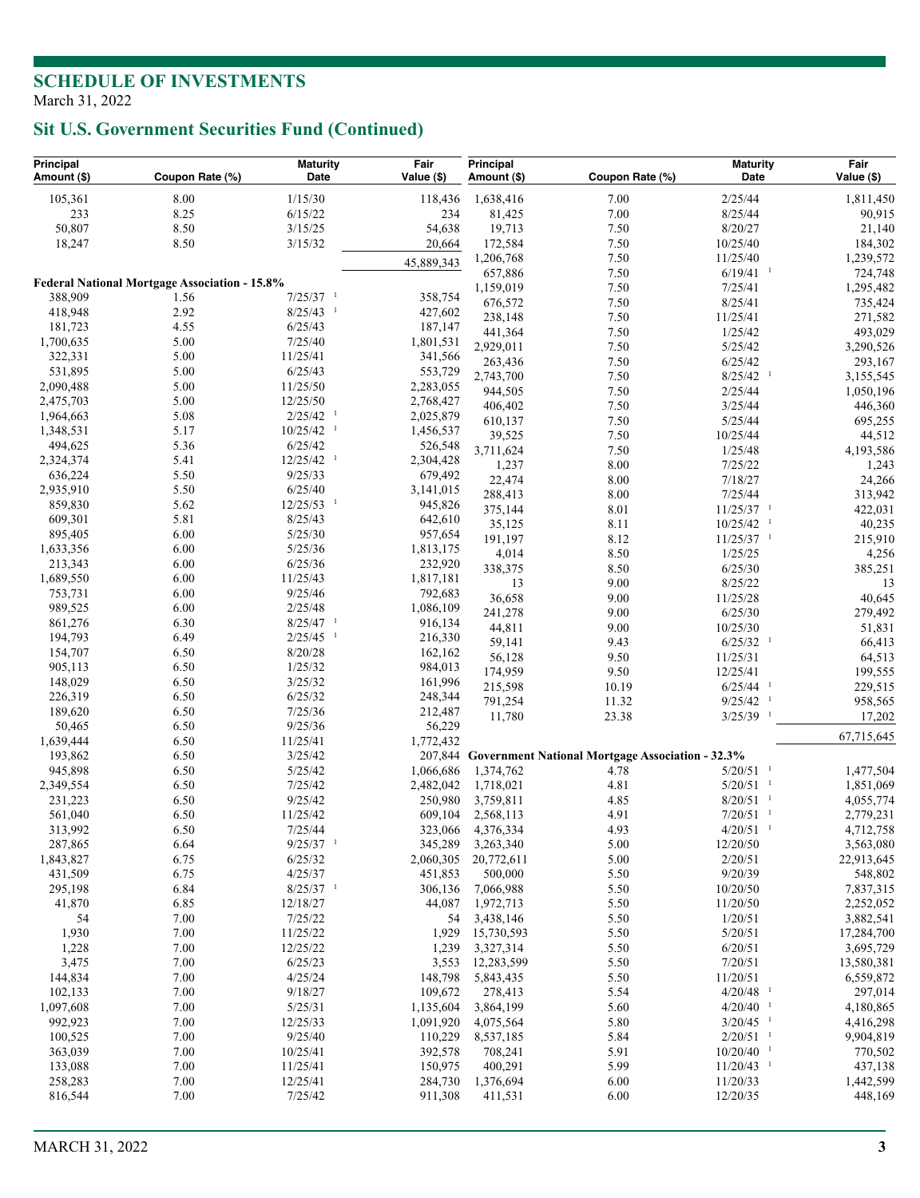# **Sit U.S. Government Securities Fund (Continued)**

| Principal<br>Amount (\$) | Coupon Rate (%)                                      | <b>Maturity</b><br>Date                           | Fair<br>Value (\$)     | Principal<br>Amount (\$) | Coupon Rate (%)                                          | <b>Maturity</b><br>Date            | Fair<br>Value (\$)     |
|--------------------------|------------------------------------------------------|---------------------------------------------------|------------------------|--------------------------|----------------------------------------------------------|------------------------------------|------------------------|
| 105,361                  | $8.00\,$                                             | 1/15/30                                           | 118,436                | 1,638,416                | 7.00                                                     | 2/25/44                            | 1,811,450              |
| 233                      | 8.25                                                 | 6/15/22                                           | 234                    | 81,425                   | 7.00                                                     | 8/25/44                            | 90,915                 |
| 50,807                   | 8.50                                                 | 3/15/25                                           | 54,638                 | 19,713                   | 7.50                                                     | 8/20/27                            | 21,140                 |
| 18,247                   | 8.50                                                 | 3/15/32                                           | 20,664                 | 172,584                  | 7.50                                                     | 10/25/40                           | 184,302                |
|                          |                                                      |                                                   | 45,889,343             | 1,206,768                | 7.50                                                     | 11/25/40                           | 1,239,572              |
|                          |                                                      |                                                   |                        | 657,886                  | 7.50                                                     | $6/19/41$ <sup>1</sup>             | 724,748                |
|                          | <b>Federal National Mortgage Association - 15.8%</b> |                                                   |                        | 1,159,019                | 7.50                                                     | 7/25/41                            | 1,295,482              |
| 388,909                  | 1.56                                                 | $7/25/37$ <sup>1</sup>                            | 358,754                | 676,572                  | 7.50                                                     | 8/25/41                            | 735,424                |
| 418,948                  | 2.92                                                 | $8/25/43$ <sup>1</sup>                            | 427,602                | 238,148                  | 7.50                                                     | 11/25/41                           | 271,582                |
| 181,723                  | 4.55                                                 | 6/25/43                                           | 187,147                | 441,364                  | 7.50                                                     | 1/25/42                            | 493,029                |
| 1,700,635                | 5.00                                                 | 7/25/40                                           | 1,801,531              | 2,929,011                | 7.50                                                     | 5/25/42                            | 3,290,526              |
| 322,331                  | 5.00                                                 | 11/25/41                                          | 341,566                | 263,436                  | 7.50                                                     | 6/25/42                            | 293,167                |
| 531,895                  | 5.00                                                 | 6/25/43                                           | 553,729                | 2,743,700                | 7.50                                                     | $8/25/42$ <sup>1</sup>             | 3,155,545              |
| 2,090,488                | 5.00                                                 | 11/25/50                                          | 2,283,055              | 944,505                  | 7.50                                                     | 2/25/44                            | 1,050,196              |
| 2,475,703                | 5.00                                                 | 12/25/50                                          | 2,768,427              | 406,402                  | 7.50                                                     | 3/25/44                            | 446,360                |
| 1,964,663                | 5.08<br>5.17                                         | $2/25/42$ <sup>1</sup><br>$10/25/42$ <sup>1</sup> | 2,025,879              | 610,137                  | 7.50                                                     | 5/25/44                            | 695,255                |
| 1,348,531<br>494,625     | 5.36                                                 | 6/25/42                                           | 1,456,537              | 39,525                   | 7.50                                                     | 10/25/44                           | 44,512                 |
| 2,324,374                | 5.41                                                 | $12/25/42$ <sup>1</sup>                           | 526,548<br>2,304,428   | 3,711,624                | 7.50                                                     | 1/25/48                            | 4,193,586              |
| 636,224                  | 5.50                                                 | 9/25/33                                           | 679,492                | 1,237                    | 8.00                                                     | 7/25/22                            | 1,243                  |
| 2,935,910                | 5.50                                                 | 6/25/40                                           | 3,141,015              | 22,474                   | 8.00                                                     | 7/18/27                            | 24,266                 |
| 859,830                  | 5.62                                                 | $12/25/53$ <sup>1</sup>                           | 945,826                | 288,413                  | 8.00                                                     | 7/25/44                            | 313,942                |
| 609,301                  | 5.81                                                 | 8/25/43                                           | 642,610                | 375,144                  | 8.01                                                     | $11/25/37$ <sup>1</sup>            | 422,031                |
| 895,405                  | 6.00                                                 | 5/25/30                                           | 957,654                | 35,125                   | 8.11                                                     | $10/25/42$ <sup>1</sup>            | 40,235                 |
| 1,633,356                | 6.00                                                 | 5/25/36                                           | 1,813,175              | 191,197                  | 8.12                                                     | $11/25/37$ <sup>1</sup>            | 215,910                |
| 213,343                  | 6.00                                                 | 6/25/36                                           | 232,920                | 4,014                    | 8.50                                                     | 1/25/25                            | 4,256                  |
| 1,689,550                | 6.00                                                 | 11/25/43                                          | 1,817,181              | 338,375                  | 8.50                                                     | 6/25/30                            | 385,251                |
| 753,731                  | 6.00                                                 | 9/25/46                                           | 792,683                | 13                       | 9.00                                                     | 8/25/22                            | 13                     |
| 989,525                  | 6.00                                                 | 2/25/48                                           | 1,086,109              | 36,658                   | 9.00                                                     | 11/25/28                           | 40,645                 |
| 861,276                  | 6.30                                                 | $8/25/47$ <sup>1</sup>                            | 916,134                | 241,278                  | 9.00                                                     | 6/25/30                            | 279,492                |
| 194,793                  | 6.49                                                 | $2/25/45$ <sup>1</sup>                            | 216,330                | 44,811                   | 9.00<br>9.43                                             | 10/25/30<br>$6/25/32$ <sup>1</sup> | 51,831                 |
| 154,707                  | 6.50                                                 | 8/20/28                                           | 162,162                | 59,141<br>56,128         | 9.50                                                     | 11/25/31                           | 66,413<br>64,513       |
| 905,113                  | 6.50                                                 | 1/25/32                                           | 984,013                | 174,959                  | 9.50                                                     | 12/25/41                           | 199,555                |
| 148,029                  | 6.50                                                 | 3/25/32                                           | 161,996                | 215,598                  | 10.19                                                    | $6/25/44$ <sup>1</sup>             | 229,515                |
| 226,319                  | 6.50                                                 | 6/25/32                                           | 248,344                | 791,254                  | 11.32                                                    | $9/25/42$ <sup>1</sup>             | 958,565                |
| 189,620                  | 6.50                                                 | 7/25/36                                           | 212,487                | 11,780                   | 23.38                                                    | $3/25/39$ <sup>1</sup>             | 17,202                 |
| 50,465                   | 6.50                                                 | 9/25/36                                           | 56,229                 |                          |                                                          |                                    |                        |
| 1,639,444                | 6.50                                                 | 11/25/41                                          | 1,772,432              |                          |                                                          |                                    | 67,715,645             |
| 193,862                  | 6.50                                                 | 3/25/42                                           |                        |                          | 207,844 Government National Mortgage Association - 32.3% |                                    |                        |
| 945,898                  | 6.50                                                 | 5/25/42                                           | 1,066,686              | 1,374,762                | 4.78                                                     | $5/20/51$ <sup>1</sup>             | 1,477,504              |
| 2,349,554                | 6.50                                                 | 7/25/42                                           | 2,482,042              | 1,718,021                | 4.81                                                     | $5/20/51$ <sup>1</sup>             | 1,851,069              |
| 231,223                  | 6.50                                                 | 9/25/42                                           | 250,980                | 3,759,811                | 4.85                                                     | $8/20/51$ <sup>1</sup>             | 4,055,774              |
| 561,040                  | 6.50                                                 | 11/25/42                                          | 609,104                | 2,568,113                | 4.91                                                     | $7/20/51$ <sup>1</sup>             | 2,779,231              |
| 313,992                  | 6.50                                                 | 7/25/44                                           | 323,066                | 4,376,334                | 4.93                                                     | $4/20/51$ <sup>1</sup>             | 4,712,758              |
| 287,865                  | 6.64                                                 | $9/25/37$ <sup>1</sup>                            | 345,289                | 3,263,340                | 5.00                                                     | 12/20/50                           | 3,563,080              |
| 1,843,827                | 6.75                                                 | 6/25/32                                           | 2,060,305              | 20,772,611               | 5.00                                                     | 2/20/51                            | 22,913,645             |
| 431,509                  | 6.75                                                 | 4/25/37                                           | 451,853                | 500,000                  | 5.50                                                     | 9/20/39                            | 548,802                |
| 295,198                  | 6.84                                                 | $8/25/37$ <sup>1</sup>                            | 306,136                | 7,066,988                | 5.50                                                     | 10/20/50                           | 7,837,315              |
| 41,870                   | 6.85                                                 | 12/18/27                                          | 44,087                 | 1,972,713                | 5.50                                                     | 11/20/50                           | 2,252,052              |
| 54                       | 7.00                                                 | 7/25/22                                           | 54                     | 3,438,146                | 5.50                                                     | 1/20/51                            | 3,882,541              |
| 1,930                    | 7.00                                                 | 11/25/22                                          | 1,929                  | 15,730,593               | 5.50                                                     | 5/20/51                            | 17,284,700             |
| 1,228                    | 7.00                                                 | 12/25/22                                          | 1,239                  | 3,327,314                | 5.50                                                     | 6/20/51                            | 3,695,729              |
| 3,475                    | 7.00                                                 | 6/25/23                                           | 3,553                  | 12,283,599               | 5.50                                                     | 7/20/51                            | 13,580,381             |
| 144,834<br>102,133       | 7.00<br>7.00                                         | 4/25/24<br>9/18/27                                | 148,798<br>109,672     | 5,843,435<br>278,413     | 5.50<br>5.54                                             | 11/20/51<br>$4/20/48$ <sup>1</sup> | 6,559,872<br>297,014   |
| 1,097,608                |                                                      | 5/25/31                                           |                        | 3,864,199                |                                                          | $4/20/40$ <sup>1</sup>             |                        |
| 992,923                  | 7.00<br>7.00                                         | 12/25/33                                          | 1,135,604<br>1,091,920 | 4,075,564                | 5.60<br>5.80                                             | $3/20/45$ <sup>1</sup>             | 4,180,865<br>4,416,298 |
| 100,525                  | 7.00                                                 | 9/25/40                                           | 110,229                | 8,537,185                | 5.84                                                     | $2/20/51$ <sup>1</sup>             | 9,904,819              |
| 363,039                  | 7.00                                                 | 10/25/41                                          | 392,578                | 708,241                  | 5.91                                                     | $10/20/40$ <sup>1</sup>            | 770,502                |
| 133,088                  | 7.00                                                 | 11/25/41                                          | 150,975                | 400,291                  | 5.99                                                     | $11/20/43$ <sup>1</sup>            | 437,138                |
| 258,283                  | 7.00                                                 | 12/25/41                                          | 284,730                | 1,376,694                | 6.00                                                     | 11/20/33                           | 1,442,599              |
| 816,544                  | 7.00                                                 | 7/25/42                                           | 911,308                | 411,531                  | 6.00                                                     | 12/20/35                           | 448,169                |
|                          |                                                      |                                                   |                        |                          |                                                          |                                    |                        |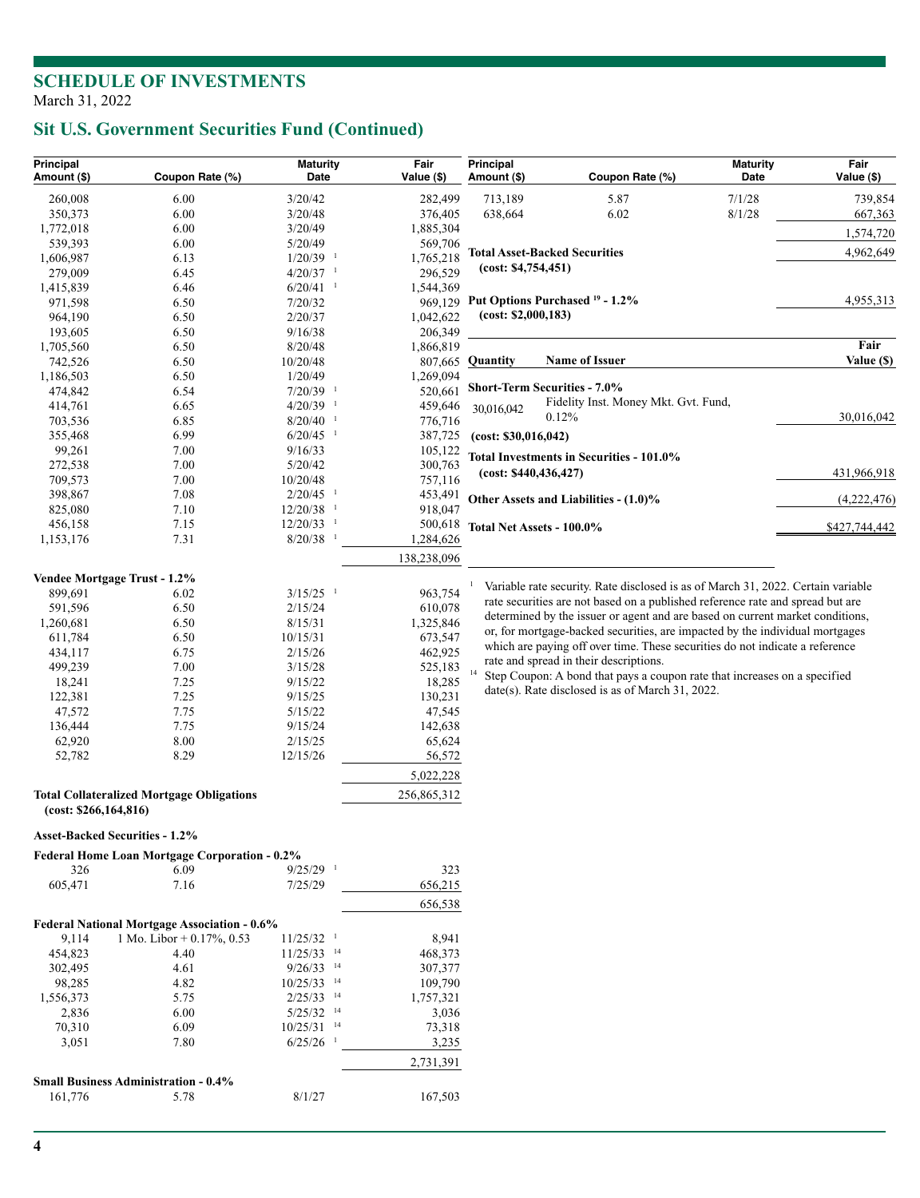# **Sit U.S. Government Securities Fund (Continued)**

| Principal<br>Amount (\$)              | Coupon Rate (%)                                  | <b>Maturity</b><br>Date  | Fair<br>Value (\$) | Principal<br>Amount (\$)          | Coupon Rate (%)                                                                  | <b>Maturity</b><br>Date | Fair<br>Value (\$) |
|---------------------------------------|--------------------------------------------------|--------------------------|--------------------|-----------------------------------|----------------------------------------------------------------------------------|-------------------------|--------------------|
| 260,008                               | 6.00                                             | 3/20/42                  | 282,499            | 713,189                           | 5.87                                                                             | 7/1/28                  | 739,854            |
| 350,373                               | 6.00                                             | 3/20/48                  | 376,405            | 638,664                           | 6.02                                                                             | 8/1/28                  | 667,363            |
| 1,772,018                             | 6.00                                             | 3/20/49                  | 1,885,304          |                                   |                                                                                  |                         | 1,574,720          |
| 539,393                               | 6.00                                             | 5/20/49                  | 569,706            |                                   |                                                                                  |                         |                    |
| 1,606,987                             | 6.13                                             | $1/20/39$ <sup>1</sup>   | 1,765,218          |                                   | <b>Total Asset-Backed Securities</b>                                             |                         | 4,962,649          |
| 279,009                               | 6.45                                             | $4/20/37$ <sup>1</sup>   | 296,529            | (cost: \$4,754,451)               |                                                                                  |                         |                    |
| 1,415,839                             | 6.46                                             | $6/20/41$ <sup>1</sup>   | 1,544,369          |                                   |                                                                                  |                         |                    |
| 971,598                               | 6.50                                             | 7/20/32                  | 969,129            |                                   | Put Options Purchased <sup>19</sup> - 1.2%                                       |                         | 4,955,313          |
| 964,190                               | 6.50                                             | 2/20/37                  | 1,042,622          | (cost: \$2,000,183)               |                                                                                  |                         |                    |
| 193,605                               | 6.50                                             | 9/16/38                  | 206,349            |                                   |                                                                                  |                         |                    |
| 1,705,560                             | 6.50                                             | 8/20/48                  | 1,866,819          |                                   |                                                                                  |                         | Fair               |
| 742,526                               | 6.50                                             | 10/20/48                 | 807,665            | <b>Quantity</b>                   | <b>Name of Issuer</b>                                                            |                         | Value (\$)         |
| 1,186,503                             | 6.50                                             | 1/20/49                  | 1,269,094          |                                   |                                                                                  |                         |                    |
| 474,842                               | 6.54                                             | $7/20/39$ <sup>1</sup>   | 520,661            |                                   | Short-Term Securities - 7.0%                                                     |                         |                    |
| 414,761                               | 6.65                                             | $4/20/39$ <sup>1</sup>   | 459,646            | 30,016,042                        | Fidelity Inst. Money Mkt. Gvt. Fund,                                             |                         |                    |
| 703,536                               | 6.85                                             | $8/20/40$ <sup>1</sup>   | 776,716            |                                   | 0.12%                                                                            |                         | 30,016,042         |
| 355,468                               | 6.99                                             | $6/20/45$ <sup>1</sup>   | 387,725            | (cost: \$30,016,042)              |                                                                                  |                         |                    |
| 99,261                                | 7.00                                             | 9/16/33                  | 105,122            |                                   | Total Investments in Securities - 101.0%                                         |                         |                    |
| 272,538                               | 7.00                                             | 5/20/42                  | 300,763            | (cost: \$440,436,427)             |                                                                                  |                         | 431,966,918        |
| 709,573                               | 7.00                                             | 10/20/48                 | 757,116            |                                   |                                                                                  |                         |                    |
| 398,867                               | 7.08                                             | $2/20/45$ <sup>1</sup>   | 453,491            |                                   | Other Assets and Liabilities - (1.0)%                                            |                         | (4,222,476)        |
| 825,080                               | 7.10                                             | $12/20/38$ <sup>1</sup>  | 918,047            |                                   |                                                                                  |                         |                    |
| 456,158                               | 7.15                                             | $12/20/33$ <sup>1</sup>  |                    | 500,618 Total Net Assets - 100.0% |                                                                                  |                         | \$427,744,442      |
| 1,153,176                             | 7.31                                             | $8/20/38$ <sup>1</sup>   | 1,284,626          |                                   |                                                                                  |                         |                    |
|                                       |                                                  |                          | 138,238,096        |                                   |                                                                                  |                         |                    |
| Vendee Mortgage Trust - 1.2%          |                                                  |                          |                    |                                   |                                                                                  |                         |                    |
| 899,691                               | 6.02                                             | $3/15/25$ <sup>1</sup>   | 963,754            |                                   | Variable rate security. Rate disclosed is as of March 31, 2022. Certain variable |                         |                    |
| 591,596                               | 6.50                                             | 2/15/24                  | 610,078            |                                   | rate securities are not based on a published reference rate and spread but are   |                         |                    |
| 1,260,681                             | 6.50                                             | 8/15/31                  | 1,325,846          |                                   | determined by the issuer or agent and are based on current market conditions,    |                         |                    |
| 611,784                               | 6.50                                             | 10/15/31                 | 673,547            |                                   | or, for mortgage-backed securities, are impacted by the individual mortgages     |                         |                    |
| 434,117                               | 6.75                                             | 2/15/26                  | 462,925            |                                   | which are paying off over time. These securities do not indicate a reference     |                         |                    |
| 499,239                               | 7.00                                             | 3/15/28                  | 525,183            |                                   | rate and spread in their descriptions.                                           |                         |                    |
| 18,241                                | 7.25                                             | 9/15/22                  | 18,285             |                                   | Step Coupon: A bond that pays a coupon rate that increases on a specified        |                         |                    |
| 122,381                               | 7.25                                             | 9/15/25                  | 130,231            |                                   | date(s). Rate disclosed is as of March 31, 2022.                                 |                         |                    |
| 47,572                                | 7.75                                             | 5/15/22                  | 47,545             |                                   |                                                                                  |                         |                    |
| 136,444                               | 7.75                                             | 9/15/24                  | 142,638            |                                   |                                                                                  |                         |                    |
| 62,920                                | 8.00                                             | 2/15/25                  | 65,624             |                                   |                                                                                  |                         |                    |
| 52,782                                | 8.29                                             | 12/15/26                 | 56,572             |                                   |                                                                                  |                         |                    |
|                                       |                                                  |                          | 5,022,228          |                                   |                                                                                  |                         |                    |
|                                       | <b>Total Collateralized Mortgage Obligations</b> |                          | 256,865,312        |                                   |                                                                                  |                         |                    |
| (cost: \$266,164,816)                 |                                                  |                          |                    |                                   |                                                                                  |                         |                    |
| <b>Asset-Backed Securities - 1.2%</b> |                                                  |                          |                    |                                   |                                                                                  |                         |                    |
|                                       | Federal Home Loan Mortgage Corporation - 0.2%    |                          |                    |                                   |                                                                                  |                         |                    |
| 326                                   | 6.09                                             | $9/25/29$ <sup>1</sup>   | 323                |                                   |                                                                                  |                         |                    |
| 605,471                               | 7.16                                             | 7/25/29                  | 656,215            |                                   |                                                                                  |                         |                    |
|                                       |                                                  |                          |                    |                                   |                                                                                  |                         |                    |
|                                       |                                                  |                          | 656,538            |                                   |                                                                                  |                         |                    |
|                                       | Federal National Mortgage Association - 0.6%     |                          |                    |                                   |                                                                                  |                         |                    |
| 9,114                                 | 1 Mo. Libor + $0.17\%$ , 0.53                    | $11/25/32$ <sup>1</sup>  | 8,941              |                                   |                                                                                  |                         |                    |
| 454,823                               | 4.40                                             | $11/25/33$ <sup>14</sup> | 468,373            |                                   |                                                                                  |                         |                    |
| 302,495                               | 4.61                                             | $9/26/33$ <sup>14</sup>  | 307,377            |                                   |                                                                                  |                         |                    |
| 98,285                                | 4.82                                             | $10/25/33$ <sup>14</sup> | 109,790            |                                   |                                                                                  |                         |                    |
| 1,556,373                             | 5.75                                             | $2/25/33$ <sup>14</sup>  | 1,757,321          |                                   |                                                                                  |                         |                    |
| 2,836                                 | 6.00                                             | $5/25/32$ <sup>14</sup>  | 3,036              |                                   |                                                                                  |                         |                    |
| 70,310                                | 6.09                                             | $10/25/31$ <sup>14</sup> | 73,318             |                                   |                                                                                  |                         |                    |
| 3,051                                 | 7.80                                             | $6/25/26$ <sup>1</sup>   | 3,235              |                                   |                                                                                  |                         |                    |
|                                       |                                                  |                          | 2,731,391          |                                   |                                                                                  |                         |                    |
|                                       | <b>Small Business Administration - 0.4%</b>      |                          |                    |                                   |                                                                                  |                         |                    |
| 161,776                               | 5.78                                             | 8/1/27                   | 167,503            |                                   |                                                                                  |                         |                    |